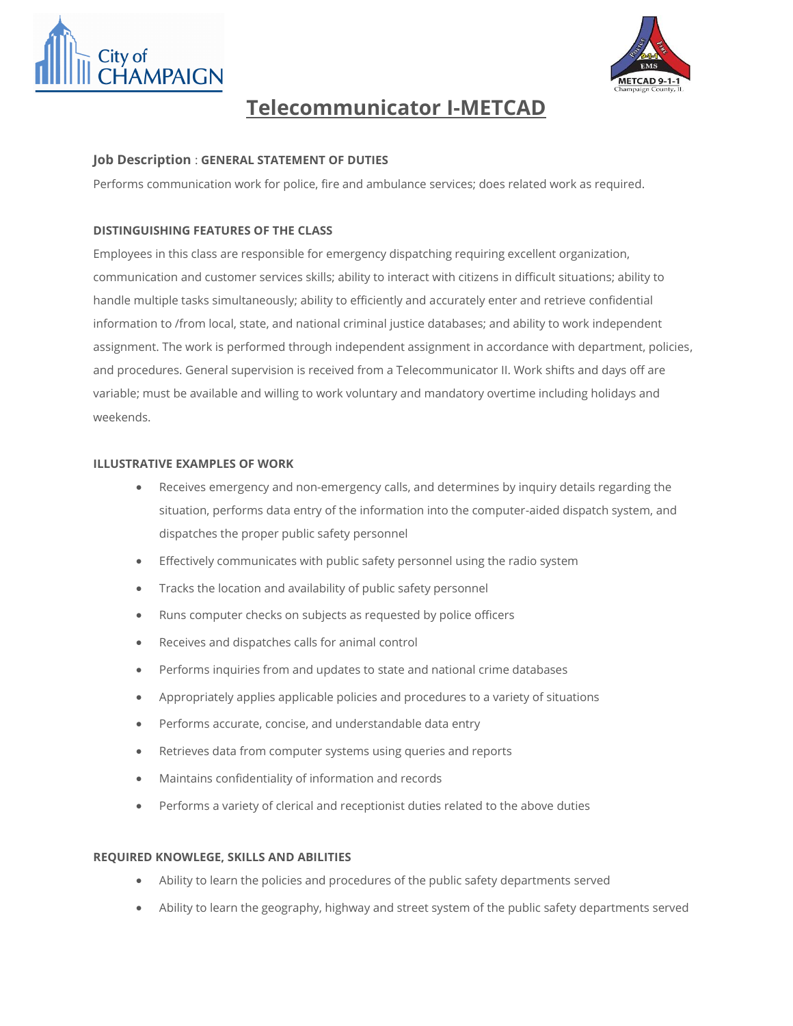



# **Telecommunicator I-METCAD**

### **Job Description** : **GENERAL STATEMENT OF DUTIES**

Performs communication work for police, fire and ambulance services; does related work as required.

## **DISTINGUISHING FEATURES OF THE CLASS**

Employees in this class are responsible for emergency dispatching requiring excellent organization, communication and customer services skills; ability to interact with citizens in difficult situations; ability to handle multiple tasks simultaneously; ability to efficiently and accurately enter and retrieve confidential information to /from local, state, and national criminal justice databases; and ability to work independent assignment. The work is performed through independent assignment in accordance with department, policies, and procedures. General supervision is received from a Telecommunicator II. Work shifts and days off are variable; must be available and willing to work voluntary and mandatory overtime including holidays and weekends.

#### **ILLUSTRATIVE EXAMPLES OF WORK**

- Receives emergency and non-emergency calls, and determines by inquiry details regarding the situation, performs data entry of the information into the computer-aided dispatch system, and dispatches the proper public safety personnel
- Effectively communicates with public safety personnel using the radio system
- Tracks the location and availability of public safety personnel
- Runs computer checks on subjects as requested by police officers
- Receives and dispatches calls for animal control
- Performs inquiries from and updates to state and national crime databases
- Appropriately applies applicable policies and procedures to a variety of situations
- Performs accurate, concise, and understandable data entry
- Retrieves data from computer systems using queries and reports
- Maintains confidentiality of information and records
- Performs a variety of clerical and receptionist duties related to the above duties

#### **REQUIRED KNOWLEGE, SKILLS AND ABILITIES**

- Ability to learn the policies and procedures of the public safety departments served
- Ability to learn the geography, highway and street system of the public safety departments served